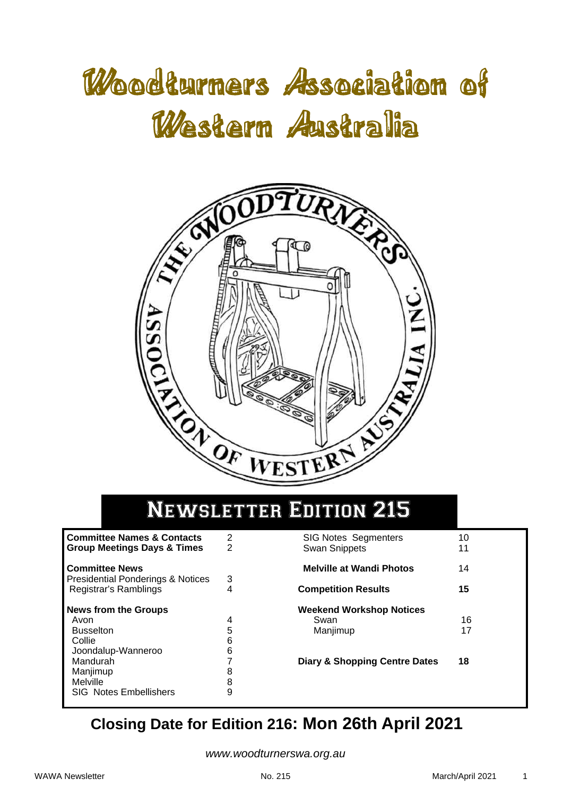# Woodturners Association of Western Australia



# Newsletter Edition 215

| <b>Committee Names &amp; Contacts</b><br><b>Group Meetings Days &amp; Times</b>                                                                              | 2<br>2                               |
|--------------------------------------------------------------------------------------------------------------------------------------------------------------|--------------------------------------|
| <b>Committee News</b><br><b>Presidential Ponderings &amp; Notices</b><br>Registrar's Ramblings                                                               | З                                    |
| <b>News from the Groups</b><br>Avon<br><b>Busselton</b><br>Collie<br>Joondalup-Wanneroo<br>Mandurah<br>Manjimup<br>Melville<br><b>SIG Notes Embellishers</b> | 4<br>5<br>6<br>6<br>7<br>8<br>8<br>g |

| <b>SIG Notes Segmenters</b><br>Swan Snippets        | 10<br>11 |
|-----------------------------------------------------|----------|
| <b>Melville at Wandi Photos</b>                     | 14       |
| <b>Competition Results</b>                          | 15       |
| <b>Weekend Workshop Notices</b><br>Swan<br>Manjimup | 16<br>17 |
| <b>Diary &amp; Shopping Centre Dates</b>            | 18       |

# **Closing Date for Edition 216: Mon 26th April 2021**

*www.woodturnerswa.org.au*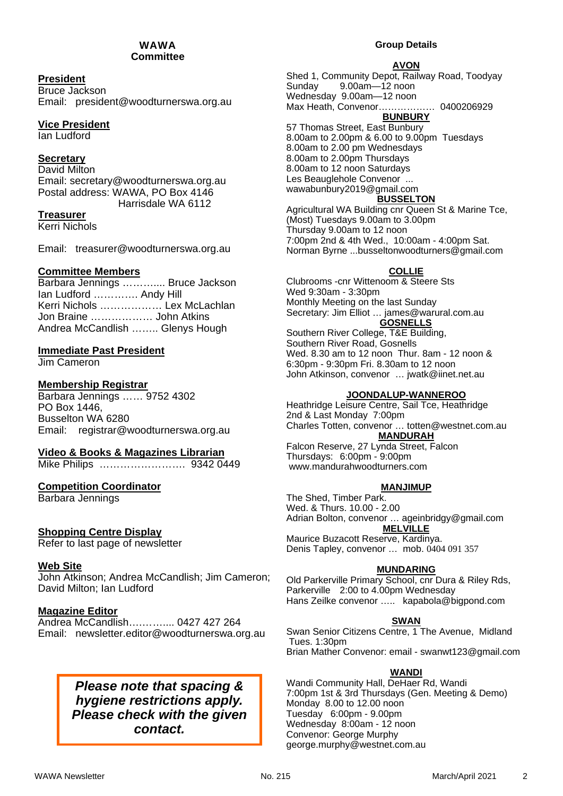#### WAWA **Committee**

### **President**

Bruce Jackson Email: president@woodturnerswa.org.au

### **Vice President**

Ian Ludford

### **Secretary**

David Milton Email: secretary@woodturnerswa.org.au Postal address: WAWA, PO Box 4146 Harrisdale WA 6112

### **Treasurer**

Kerri Nichols

Email: treasurer@woodturnerswa.org.au

### **Committee Members**

|                                 | Barbara Jennings  Bruce Jackson |
|---------------------------------|---------------------------------|
| Ian Ludford  Andy Hill          |                                 |
| Kerri Nichols  Lex McLachlan    |                                 |
| Jon Braine  John Atkins         |                                 |
| Andrea McCandlish  Glenys Hough |                                 |

### **Immediate Past President**

Jim Cameron

### **Membership Registrar**

Barbara Jennings …… 9752 4302 PO Box 1446, Busselton WA 6280 Email: registrar@woodturnerswa.org.au

### **Video & Books & Magazines Librarian**

Mike Philips ……………………. 9342 0449

### **Competition Coordinator**

Barbara Jennings

### **Shopping Centre Display**

Refer to last page of newsletter

### **Web Site**

John Atkinson; Andrea McCandlish; Jim Cameron; David Milton; Ian Ludford

### **Magazine Editor**

Andrea McCandlish….…….... 0427 427 264 Email: newsletter.editor@woodturnerswa.org.au

### *Please note that spacing & hygiene restrictions apply. Please check with the given contact.*

#### **Group Details**

#### **AVON**

Shed 1, Community Depot, Railway Road, Toodyay Sunday 9.00am—12 noon Wednesday 9.00am—12 noon Max Heath, Convenor……………… 0400206929 **BUNBURY**  57 Thomas Street, East Bunbury 8.00am to 2.00pm & 6.00 to 9.00pm Tuesdays

8.00am to 2.00 pm Wednesdays 8.00am to 2.00pm Thursdays 8.00am to 12 noon Saturdays Les Beauglehole Convenor ... wawabunbury2019@gmail.com **BUSSELTON** 

Agricultural WA Building cnr Queen St & Marine Tce, (Most) Tuesdays 9.00am to 3.00pm Thursday 9.00am to 12 noon 7:00pm 2nd & 4th Wed., 10:00am - 4:00pm Sat. Norman Byrne ...busseltonwoodturners@gmail.com

### **COLLIE**

Clubrooms -cnr Wittenoom & Steere Sts Wed 9:30am - 3:30pm Monthly Meeting on the last Sunday Secretary: Jim Elliot … james@warural.com.au **GOSNELLS** 

Southern River College, T&E Building, Southern River Road, Gosnells Wed. 8.30 am to 12 noon Thur. 8am - 12 noon & 6:30pm - 9:30pm Fri. 8.30am to 12 noon John Atkinson, convenor … jwatk@iinet.net.au

#### **JOONDALUP-WANNEROO**

Heathridge Leisure Centre, Sail Tce, Heathridge 2nd & Last Monday 7:00pm Charles Totten, convenor … totten@westnet.com.au **MANDURAH** 

Falcon Reserve, 27 Lynda Street, Falcon Thursdays: 6:00pm - 9:00pm www.mandurahwoodturners.com

### **MANJIMUP**

The Shed, Timber Park. Wed. & Thurs. 10.00 - 2.00 Adrian Bolton, convenor … ageinbridgy@gmail.com **MELVILLE**  Maurice Buzacott Reserve, Kardinya. Denis Tapley, convenor … mob. 0404 091 357

### **MUNDARING**

Old Parkerville Primary School, cnr Dura & Riley Rds, Parkerville 2:00 to 4.00pm Wednesday Hans Zeilke convenor ….. kapabola@bigpond.com

### **SWAN**

Swan Senior Citizens Centre, 1 The Avenue, Midland Tues. 1:30pm Brian Mather Convenor: email - swanwt123@gmail.com

#### **WANDI**

Wandi Community Hall, DeHaer Rd, Wandi 7:00pm 1st & 3rd Thursdays (Gen. Meeting & Demo) Monday 8.00 to 12.00 noon Tuesday 6:00pm - 9.00pm Wednesday 8:00am - 12 noon Convenor: George Murphy george.murphy@westnet.com.au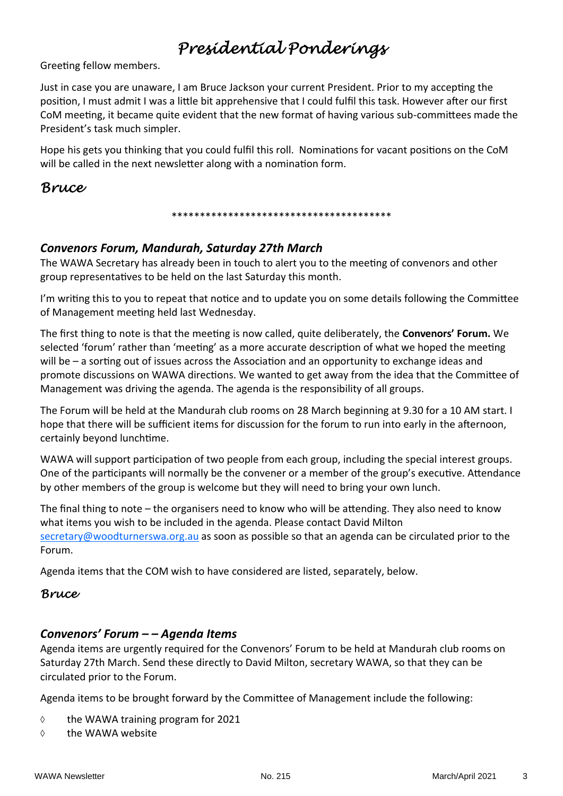# *Presidential Ponderings*

Greeting fellow members.

Just in case you are unaware, I am Bruce Jackson your current President. Prior to my accepting the position, I must admit I was a little bit apprehensive that I could fulfil this task. However after our first CoM meeting, it became quite evident that the new format of having various sub-committees made the President's task much simpler.

Hope his gets you thinking that you could fulfil this roll. Nominations for vacant positions on the CoM will be called in the next newsletter along with a nomination form.

### *Bruce*

### \*\*\*\*\*\*\*\*\*\*\*\*\*\*\*\*\*\*\*\*\*\*\*\*\*\*\*\*\*\*\*\*\*\*\*\*\*\*\*

### *Convenors Forum, Mandurah, Saturday 27th March*

The WAWA Secretary has already been in touch to alert you to the meeting of convenors and other group representatives to be held on the last Saturday this month.

I'm writing this to you to repeat that notice and to update you on some details following the Committee of Management meeting held last Wednesday.

The first thing to note is that the meeting is now called, quite deliberately, the **Convenors' Forum.** We selected 'forum' rather than 'meeting' as a more accurate description of what we hoped the meeting will be – a sorting out of issues across the Association and an opportunity to exchange ideas and promote discussions on WAWA directions. We wanted to get away from the idea that the Committee of Management was driving the agenda. The agenda is the responsibility of all groups.

The Forum will be held at the Mandurah club rooms on 28 March beginning at 9.30 for a 10 AM start. I hope that there will be sufficient items for discussion for the forum to run into early in the afternoon, certainly beyond lunchtime.

WAWA will support participation of two people from each group, including the special interest groups. One of the participants will normally be the convener or a member of the group's executive. Attendance by other members of the group is welcome but they will need to bring your own lunch.

The final thing to note – the organisers need to know who will be attending. They also need to know what items you wish to be included in the agenda. Please contact David Milton secretary@woodturnerswa.org.au as soon as possible so that an agenda can be circulated prior to the Forum.

Agenda items that the COM wish to have considered are listed, separately, below.

### *Bruce*

### *Convenors' Forum – – Agenda Items*

Agenda items are urgently required for the Convenors' Forum to be held at Mandurah club rooms on Saturday 27th March. Send these directly to David Milton, secretary WAWA, so that they can be circulated prior to the Forum.

Agenda items to be brought forward by the Committee of Management include the following:

- $\diamond$  the WAWA training program for 2021
- $\diamond$  the WAWA website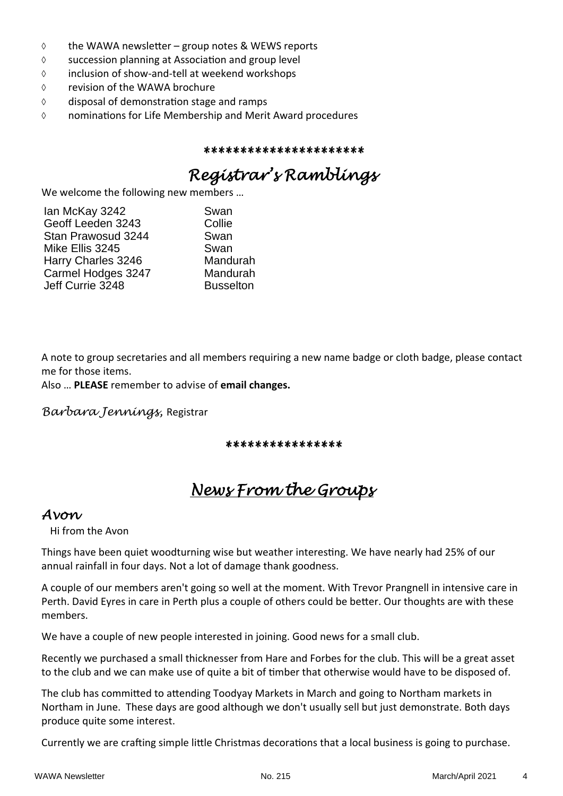- $\Diamond$  the WAWA newsletter group notes & WEWS reports
- $\Diamond$  succession planning at Association and group level
- inclusion of show‐and‐tell at weekend workshops
- revision of the WAWA brochure
- $\Diamond$  disposal of demonstration stage and ramps
- $\Diamond$  nominations for Life Membership and Merit Award procedures

*\*\*\*\*\*\*\*\*\*\*\*\*\*\*\*\*\*\*\*\*\*\** 

# *Registrar's Ramblings*

We welcome the following new members …

| lan McKay 3242     | Swan             |
|--------------------|------------------|
| Geoff Leeden 3243  | Collie           |
| Stan Prawosud 3244 | Swan             |
| Mike Ellis 3245    | Swan             |
| Harry Charles 3246 | Mandurah         |
| Carmel Hodges 3247 | Mandurah         |
| Jeff Currie 3248   | <b>Busselton</b> |

A note to group secretaries and all members requiring a new name badge or cloth badge, please contact me for those items.

Also … **PLEASE** remember to advise of **email changes.** 

*Barbara Jennings,* Registrar

*\*\*\*\*\*\*\*\*\*\*\*\*\*\*\*\**

# *News From the Groups*

### *Avon*

Hi from the Avon

Things have been quiet woodturning wise but weather interesting. We have nearly had 25% of our annual rainfall in four days. Not a lot of damage thank goodness.

A couple of our members aren't going so well at the moment. With Trevor Prangnell in intensive care in Perth. David Eyres in care in Perth plus a couple of others could be better. Our thoughts are with these members.

We have a couple of new people interested in joining. Good news for a small club.

Recently we purchased a small thicknesser from Hare and Forbes for the club. This will be a great asset to the club and we can make use of quite a bit of timber that otherwise would have to be disposed of.

The club has committed to attending Toodyay Markets in March and going to Northam markets in Northam in June. These days are good although we don't usually sell but just demonstrate. Both days produce quite some interest.

Currently we are crafting simple little Christmas decorations that a local business is going to purchase.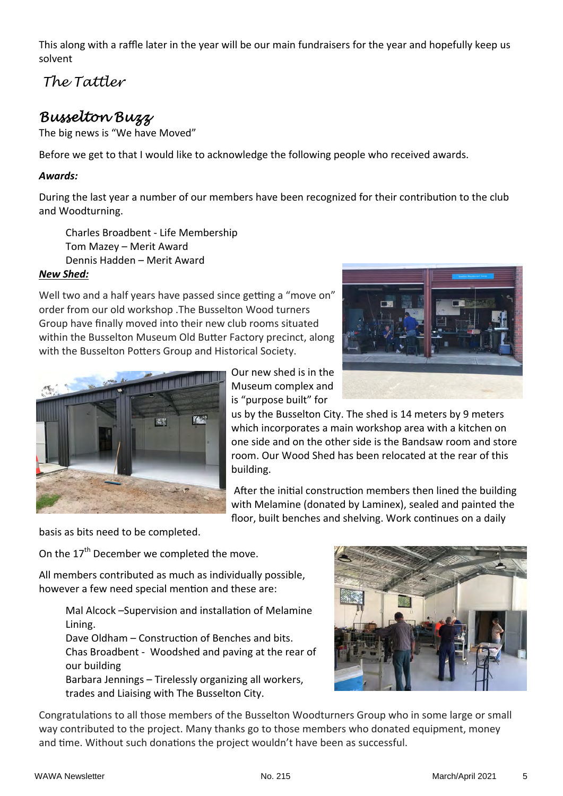This along with a raffle later in the year will be our main fundraisers for the year and hopefully keep us solvent

*The Tattler*

# *Busselton Buzz*

The big news is "We have Moved"

Before we get to that I would like to acknowledge the following people who received awards.

### *Awards:*

During the last year a number of our members have been recognized for their contribution to the club and Woodturning.

Charles Broadbent ‐ Life Membership Tom Mazey – Merit Award Dennis Hadden – Merit Award

### *New Shed:*

Well two and a half years have passed since getting a "move on" order from our old workshop .The Busselton Wood turners Group have finally moved into their new club rooms situated within the Busselton Museum Old Butter Factory precinct, along with the Busselton Potters Group and Historical Society.





Our new shed is in the Museum complex and is "purpose built" for

us by the Busselton City. The shed is 14 meters by 9 meters which incorporates a main workshop area with a kitchen on one side and on the other side is the Bandsaw room and store room. Our Wood Shed has been relocated at the rear of this building.

After the initial construction members then lined the building with Melamine (donated by Laminex), sealed and painted the floor, built benches and shelving. Work continues on a daily

basis as bits need to be completed.

On the 17<sup>th</sup> December we completed the move.

All members contributed as much as individually possible, however a few need special mention and these are:

> Mal Alcock –Supervision and installation of Melamine Lining.

Dave Oldham – Construction of Benches and bits. Chas Broadbent ‐ Woodshed and paving at the rear of our building Barbara Jennings – Tirelessly organizing all workers,

trades and Liaising with The Busselton City.



Congratulations to all those members of the Busselton Woodturners Group who in some large or small way contributed to the project. Many thanks go to those members who donated equipment, money and time. Without such donations the project wouldn't have been as successful.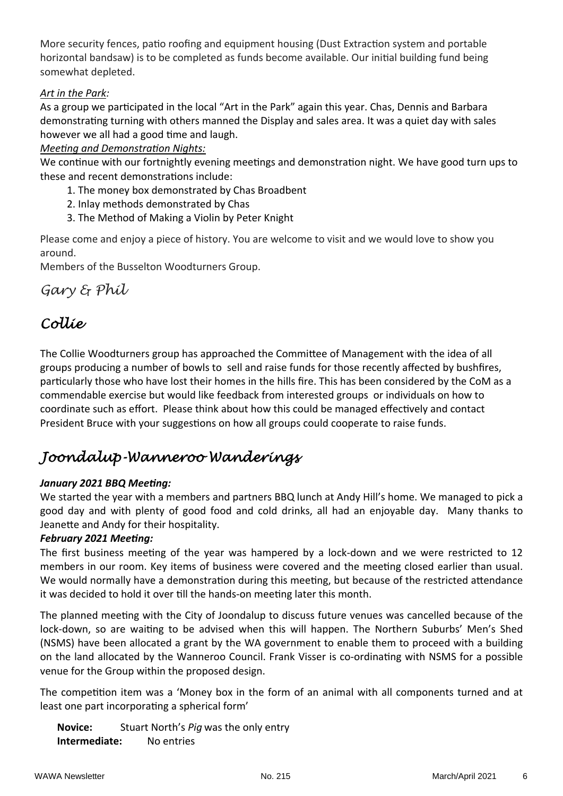More security fences, patio roofing and equipment housing (Dust Extraction system and portable horizontal bandsaw) is to be completed as funds become available. Our initial building fund being somewhat depleted.

### *Art in the Park:*

As a group we participated in the local "Art in the Park" again this year. Chas, Dennis and Barbara demonstrating turning with others manned the Display and sales area. It was a quiet day with sales however we all had a good time and laugh.

### *MeeƟng and DemonstraƟon Nights:*

We continue with our fortnightly evening meetings and demonstration night. We have good turn ups to these and recent demonstrations include:

- 1. The money box demonstrated by Chas Broadbent
- 2. Inlay methods demonstrated by Chas
- 3. The Method of Making a Violin by Peter Knight

Please come and enjoy a piece of history. You are welcome to visit and we would love to show you around.

Members of the Busselton Woodturners Group.

### *Gary & Phil*

# *Collie*

The Collie Woodturners group has approached the Committee of Management with the idea of all groups producing a number of bowls to sell and raise funds for those recently affected by bushfires, particularly those who have lost their homes in the hills fire. This has been considered by the CoM as a commendable exercise but would like feedback from interested groups or individuals on how to coordinate such as effort. Please think about how this could be managed effectively and contact President Bruce with your suggestions on how all groups could cooperate to raise funds.

# *Joondalup-Wanneroo Wanderings*

### *January 2021 BBQ MeeƟng:*

We started the year with a members and partners BBQ lunch at Andy Hill's home. We managed to pick a good day and with plenty of good food and cold drinks, all had an enjoyable day. Many thanks to Jeanette and Andy for their hospitality.

### *February* 2021 Meeting:

The first business meeting of the year was hampered by a lock-down and we were restricted to 12 members in our room. Key items of business were covered and the meeting closed earlier than usual. We would normally have a demonstration during this meeting, but because of the restricted attendance it was decided to hold it over till the hands-on meeting later this month.

The planned meeting with the City of Joondalup to discuss future venues was cancelled because of the lock-down, so are waiting to be advised when this will happen. The Northern Suburbs' Men's Shed (NSMS) have been allocated a grant by the WA government to enable them to proceed with a building on the land allocated by the Wanneroo Council. Frank Visser is co-ordinating with NSMS for a possible venue for the Group within the proposed design.

The competition item was a 'Money box in the form of an animal with all components turned and at least one part incorporating a spherical form'

**Novice:** Stuart North's *Pig* was the only entry **Intermediate:** No entries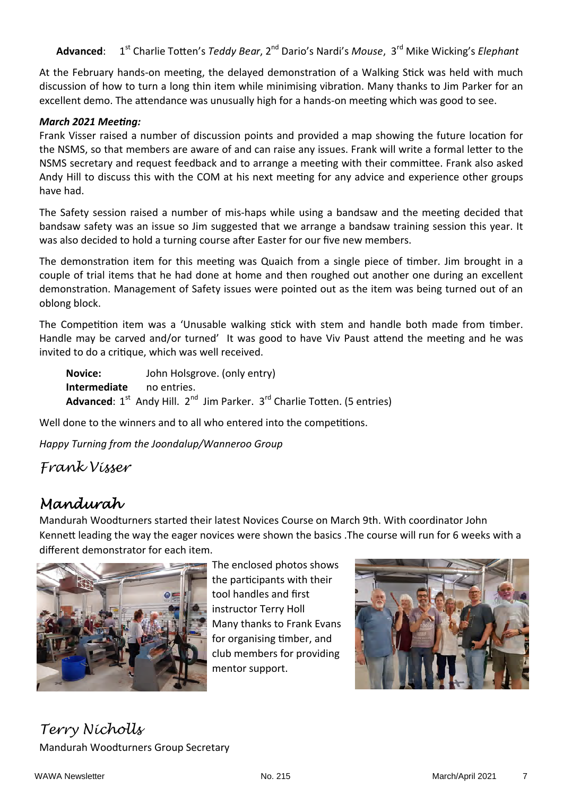Advanced: 1<sup>st</sup> Charlie Totten's *Teddy Bear*, 2<sup>nd</sup> Dario's Nardi's *Mouse*, 3<sup>rd</sup> Mike Wicking's *Elephant* 

At the February hands-on meeting, the delayed demonstration of a Walking Stick was held with much discussion of how to turn a long thin item while minimising vibration. Many thanks to Jim Parker for an excellent demo. The attendance was unusually high for a hands-on meeting which was good to see.

### *March 2021 MeeƟng:*

Frank Visser raised a number of discussion points and provided a map showing the future location for the NSMS, so that members are aware of and can raise any issues. Frank will write a formal letter to the NSMS secretary and request feedback and to arrange a meeting with their committee. Frank also asked Andy Hill to discuss this with the COM at his next meeting for any advice and experience other groups have had.

The Safety session raised a number of mis-haps while using a bandsaw and the meeting decided that bandsaw safety was an issue so Jim suggested that we arrange a bandsaw training session this year. It was also decided to hold a turning course after Easter for our five new members.

The demonstration item for this meeting was Quaich from a single piece of timber. Jim brought in a couple of trial items that he had done at home and then roughed out another one during an excellent demonstration. Management of Safety issues were pointed out as the item was being turned out of an oblong block.

The Competition item was a 'Unusable walking stick with stem and handle both made from timber. Handle may be carved and/or turned' It was good to have Viv Paust attend the meeting and he was invited to do a critique, which was well received.

**Novice:** John Holsgrove. (only entry) **Intermediate** no entries. Advanced: 1<sup>st</sup> Andy Hill. 2<sup>nd</sup> Jim Parker. 3<sup>rd</sup> Charlie Totten. (5 entries)

Well done to the winners and to all who entered into the competitions.

*Happy Turning from the Joondalup/Wanneroo Group* 

*Frank Visser* 

# *Mandurah*

Mandurah Woodturners started their latest Novices Course on March 9th. With coordinator John Kennett leading the way the eager novices were shown the basics . The course will run for 6 weeks with a different demonstrator for each item.



The enclosed photos shows the participants with their tool handles and first instructor Terry Holl Many thanks to Frank Evans for organising timber, and club members for providing mentor support.



*Terry Nicholls*  Mandurah Woodturners Group Secretary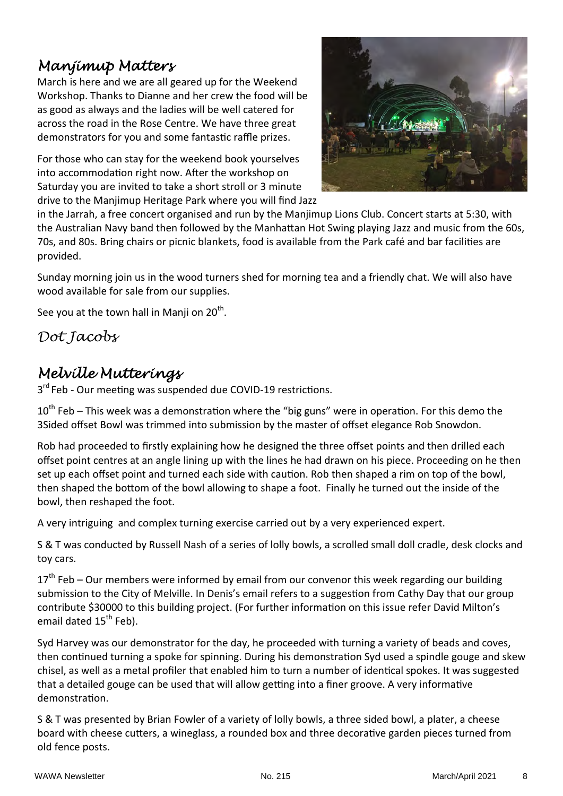# *Manjimup Matters*

March is here and we are all geared up for the Weekend Workshop. Thanks to Dianne and her crew the food will be as good as always and the ladies will be well catered for across the road in the Rose Centre. We have three great demonstrators for you and some fantastic raffle prizes.

For those who can stay for the weekend book yourselves into accommodation right now. After the workshop on Saturday you are invited to take a short stroll or 3 minute drive to the Manjimup Heritage Park where you will find Jazz



in the Jarrah, a free concert organised and run by the Manjimup Lions Club. Concert starts at 5:30, with the Australian Navy band then followed by the Manhattan Hot Swing playing Jazz and music from the 60s, 70s, and 80s. Bring chairs or picnic blankets, food is available from the Park café and bar facilities are provided.

Sunday morning join us in the wood turners shed for morning tea and a friendly chat. We will also have wood available for sale from our supplies.

See you at the town hall in Manji on  $20^{th}$ .

*Dot Jacobs* 

# *Melville Mutterings*

3<sup>rd</sup> Feb - Our meeting was suspended due COVID-19 restrictions.

 $10^{th}$  Feb – This week was a demonstration where the "big guns" were in operation. For this demo the 3Sided offset Bowl was trimmed into submission by the master of offset elegance Rob Snowdon.

Rob had proceeded to firstly explaining how he designed the three offset points and then drilled each offset point centres at an angle lining up with the lines he had drawn on his piece. Proceeding on he then set up each offset point and turned each side with caution. Rob then shaped a rim on top of the bowl, then shaped the bottom of the bowl allowing to shape a foot. Finally he turned out the inside of the bowl, then reshaped the foot.

A very intriguing and complex turning exercise carried out by a very experienced expert.

S & T was conducted by Russell Nash of a series of lolly bowls, a scrolled small doll cradle, desk clocks and toy cars.

 $17<sup>th</sup>$  Feb – Our members were informed by email from our convenor this week regarding our building submission to the City of Melville. In Denis's email refers to a suggestion from Cathy Day that our group contribute \$30000 to this building project. (For further information on this issue refer David Milton's email dated 15<sup>th</sup> Feb).

Syd Harvey was our demonstrator for the day, he proceeded with turning a variety of beads and coves, then continued turning a spoke for spinning. During his demonstration Syd used a spindle gouge and skew chisel, as well as a metal profiler that enabled him to turn a number of identical spokes. It was suggested that a detailed gouge can be used that will allow getting into a finer groove. A very informative demonstration.

S & T was presented by Brian Fowler of a variety of lolly bowls, a three sided bowl, a plater, a cheese board with cheese cutters, a wineglass, a rounded box and three decorative garden pieces turned from old fence posts.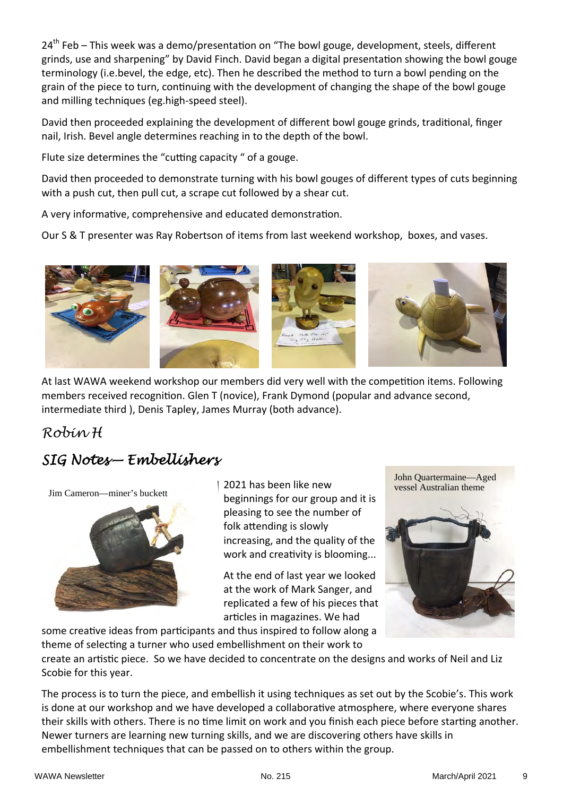24<sup>th</sup> Feb – This week was a demo/presentation on "The bowl gouge, development, steels, different grinds, use and sharpening" by David Finch. David began a digital presentation showing the bowl gouge terminology (i.e.bevel, the edge, etc). Then he described the method to turn a bowl pending on the grain of the piece to turn, continuing with the development of changing the shape of the bowl gouge and milling techniques (eg.high‐speed steel).

David then proceeded explaining the development of different bowl gouge grinds, traditional, finger nail, Irish. Bevel angle determines reaching in to the depth of the bowl.

Flute size determines the "cutting capacity" of a gouge.

David then proceeded to demonstrate turning with his bowl gouges of different types of cuts beginning with a push cut, then pull cut, a scrape cut followed by a shear cut.

A very informative, comprehensive and educated demonstration.

Our S & T presenter was Ray Robertson of items from last weekend workshop, boxes, and vases.



At last WAWA weekend workshop our members did very well with the competition items. Following members received recognition. Glen T (novice), Frank Dymond (popular and advance second, intermediate third ), Denis Tapley, James Murray (both advance).

### *Robin H*

# *SIG Notes— Embellishers*

Jim Cameron—miner's buckett



2021 has been like new beginnings for our group and it is pleasing to see the number of folk attending is slowly increasing, and the quality of the work and creativity is blooming...

At the end of last year we looked at the work of Mark Sanger, and replicated a few of his pieces that articles in magazines. We had

John Quartermaine—Aged vessel Australian theme



some creative ideas from participants and thus inspired to follow along a theme of selecting a turner who used embellishment on their work to

create an artistic piece. So we have decided to concentrate on the designs and works of Neil and Liz Scobie for this year.

The process is to turn the piece, and embellish it using techniques as set out by the Scobie's. This work is done at our workshop and we have developed a collaborative atmosphere, where everyone shares their skills with others. There is no time limit on work and you finish each piece before starting another. Newer turners are learning new turning skills, and we are discovering others have skills in embellishment techniques that can be passed on to others within the group.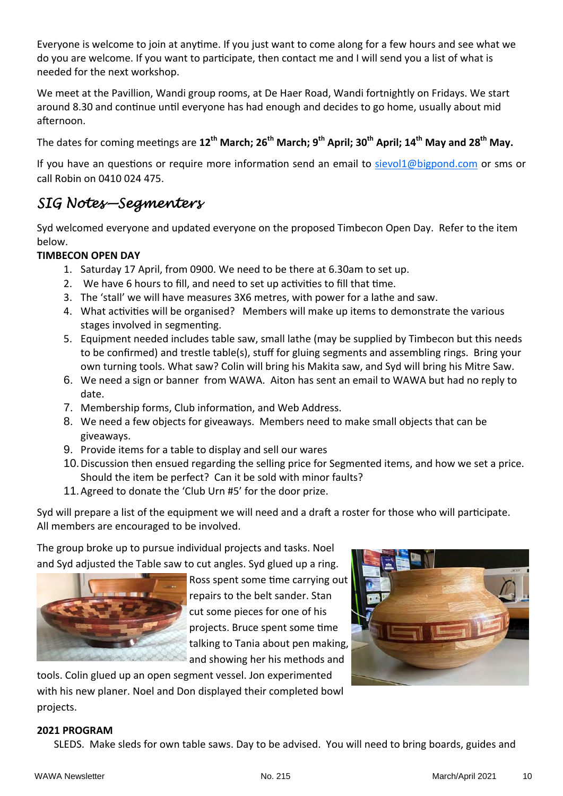Everyone is welcome to join at anytime. If you just want to come along for a few hours and see what we do you are welcome. If you want to participate, then contact me and I will send you a list of what is needed for the next workshop.

We meet at the Pavillion, Wandi group rooms, at De Haer Road, Wandi fortnightly on Fridays. We start around 8.30 and continue until everyone has had enough and decides to go home, usually about mid afternoon.

The dates for coming meetings are 12<sup>th</sup> March; 26<sup>th</sup> March; 9<sup>th</sup> April; 30<sup>th</sup> April; 14<sup>th</sup> May and 28<sup>th</sup> May.

If you have an questions or require more information send an email to sievol1@bigpond.com or sms or call Robin on 0410 024 475.

# *SIG Notes—Segmenters*

Syd welcomed everyone and updated everyone on the proposed Timbecon Open Day. Refer to the item below.

### **TIMBECON OPEN DAY**

- 1. Saturday 17 April, from 0900. We need to be there at 6.30am to set up.
- 2. We have 6 hours to fill, and need to set up activities to fill that time.
- 3. The 'stall' we will have measures 3X6 metres, with power for a lathe and saw.
- 4. What activities will be organised? Members will make up items to demonstrate the various stages involved in segmenting.
- 5. Equipment needed includes table saw, small lathe (may be supplied by Timbecon but this needs to be confirmed) and trestle table(s), stuff for gluing segments and assembling rings. Bring your own turning tools. What saw? Colin will bring his Makita saw, and Syd will bring his Mitre Saw.
- 6. We need a sign or banner from WAWA. Aiton has sent an email to WAWA but had no reply to date.
- 7. Membership forms, Club information, and Web Address.
- 8. We need a few objects for giveaways. Members need to make small objects that can be giveaways.
- 9. Provide items for a table to display and sell our wares
- 10. Discussion then ensued regarding the selling price for Segmented items, and how we set a price. Should the item be perfect? Can it be sold with minor faults?
- 11. Agreed to donate the 'Club Urn #5' for the door prize.

Syd will prepare a list of the equipment we will need and a draft a roster for those who will participate. All members are encouraged to be involved.

The group broke up to pursue individual projects and tasks. Noel and Syd adjusted the Table saw to cut angles. Syd glued up a ring.



Ross spent some time carrying out repairs to the belt sander. Stan cut some pieces for one of his projects. Bruce spent some time talking to Tania about pen making, and showing her his methods and

tools. Colin glued up an open segment vessel. Jon experimented with his new planer. Noel and Don displayed their completed bowl projects.

### **2021 PROGRAM**

SLEDS. Make sleds for own table saws. Day to be advised. You will need to bring boards, guides and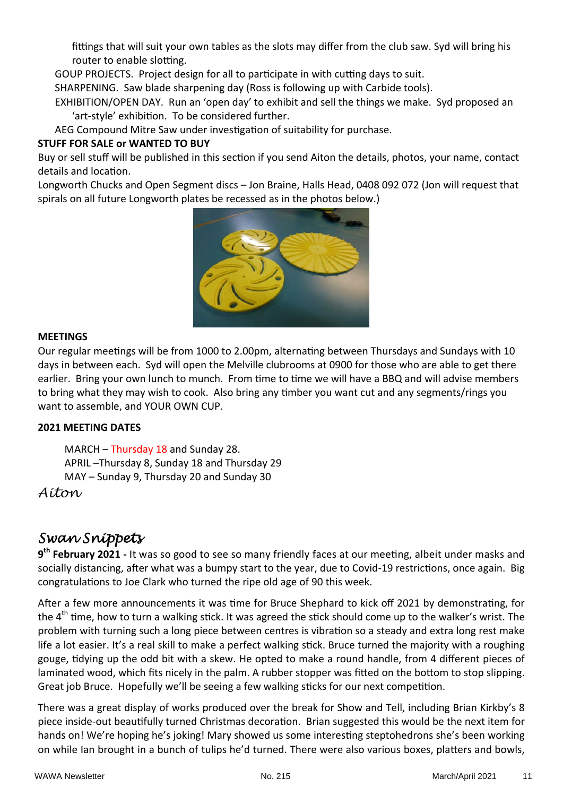fittings that will suit your own tables as the slots may differ from the club saw. Syd will bring his router to enable slotting.

GOUP PROJECTS. Project design for all to participate in with cutting days to suit.

SHARPENING. Saw blade sharpening day (Ross is following up with Carbide tools).

EXHIBITION/OPEN DAY. Run an 'open day' to exhibit and sell the things we make. Syd proposed an 'art-style' exhibition. To be considered further.

AEG Compound Mitre Saw under investigation of suitability for purchase.

### **STUFF FOR SALE or WANTED TO BUY**

Buy or sell stuff will be published in this section if you send Aiton the details, photos, your name, contact details and location.

Longworth Chucks and Open Segment discs – Jon Braine, Halls Head, 0408 092 072 (Jon will request that spirals on all future Longworth plates be recessed as in the photos below.)



### **MEETINGS**

Our regular meetings will be from 1000 to 2.00pm, alternating between Thursdays and Sundays with 10 days in between each. Syd will open the Melville clubrooms at 0900 for those who are able to get there earlier. Bring your own lunch to munch. From time to time we will have a BBQ and will advise members to bring what they may wish to cook. Also bring any timber you want cut and any segments/rings you want to assemble, and YOUR OWN CUP.

### **2021 MEETING DATES**

MARCH – Thursday 18 and Sunday 28. APRIL –Thursday 8, Sunday 18 and Thursday 29 MAY – Sunday 9, Thursday 20 and Sunday 30

*Aiton* 

# *Swan Snippets*

**9<sup>th</sup> February 2021** - It was so good to see so many friendly faces at our meeting, albeit under masks and socially distancing, after what was a bumpy start to the year, due to Covid-19 restrictions, once again. Big congratulations to Joe Clark who turned the ripe old age of 90 this week.

After a few more announcements it was time for Bruce Shephard to kick off 2021 by demonstrating, for the  $4<sup>th</sup>$  time, how to turn a walking stick. It was agreed the stick should come up to the walker's wrist. The problem with turning such a long piece between centres is vibration so a steady and extra long rest make life a lot easier. It's a real skill to make a perfect walking stick. Bruce turned the majority with a roughing gouge, tidying up the odd bit with a skew. He opted to make a round handle, from 4 different pieces of laminated wood, which fits nicely in the palm. A rubber stopper was fitted on the bottom to stop slipping. Great job Bruce. Hopefully we'll be seeing a few walking sticks for our next competition.

There was a great display of works produced over the break for Show and Tell, including Brian Kirkby's 8 piece inside-out beautifully turned Christmas decoration. Brian suggested this would be the next item for hands on! We're hoping he's joking! Mary showed us some interesting steptohedrons she's been working on while Ian brought in a bunch of tulips he'd turned. There were also various boxes, platters and bowls,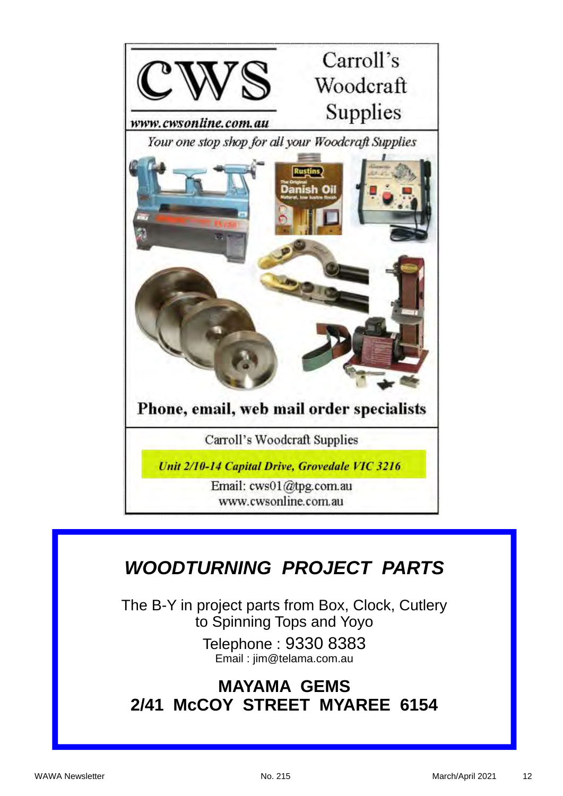

# *WOODTURNING PROJECT PARTS*

The B-Y in project parts from Box, Clock, Cutlery to Spinning Tops and Yoyo

> Telephone : 9330 8383 Email : jim@telama.com.au

# **MAYAMA GEMS 2/41 McCOY STREET MYAREE 6154**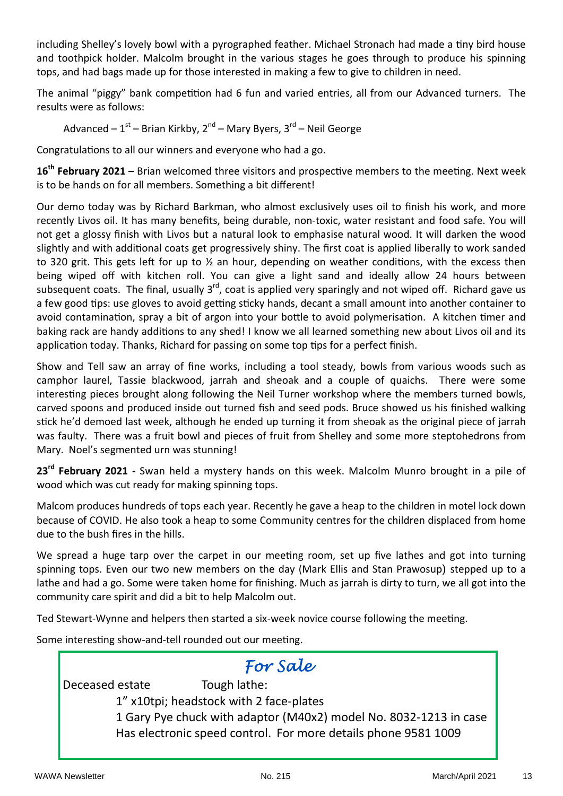including Shelley's lovely bowl with a pyrographed feather. Michael Stronach had made a tiny bird house and toothpick holder. Malcolm brought in the various stages he goes through to produce his spinning tops, and had bags made up for those interested in making a few to give to children in need.

The animal "piggy" bank competition had 6 fun and varied entries, all from our Advanced turners. The results were as follows:

Advanced –  $1<sup>st</sup>$  – Brian Kirkby, 2<sup>nd</sup> – Mary Byers, 3<sup>rd</sup> – Neil George

Congratulations to all our winners and everyone who had a go.

16<sup>th</sup> February 2021 – Brian welcomed three visitors and prospective members to the meeting. Next week is to be hands on for all members. Something a bit different!

Our demo today was by Richard Barkman, who almost exclusively uses oil to finish his work, and more recently Livos oil. It has many benefits, being durable, non-toxic, water resistant and food safe. You will not get a glossy finish with Livos but a natural look to emphasise natural wood. It will darken the wood slightly and with additional coats get progressively shiny. The first coat is applied liberally to work sanded to 320 grit. This gets left for up to  $\frac{1}{2}$  an hour, depending on weather conditions, with the excess then being wiped off with kitchen roll. You can give a light sand and ideally allow 24 hours between subsequent coats. The final, usually 3<sup>rd</sup>, coat is applied very sparingly and not wiped off. Richard gave us a few good tips: use gloves to avoid getting sticky hands, decant a small amount into another container to avoid contamination, spray a bit of argon into your bottle to avoid polymerisation. A kitchen timer and baking rack are handy additions to any shed! I know we all learned something new about Livos oil and its application today. Thanks, Richard for passing on some top tips for a perfect finish.

Show and Tell saw an array of fine works, including a tool steady, bowls from various woods such as camphor laurel, Tassie blackwood, jarrah and sheoak and a couple of quaichs. There were some interesting pieces brought along following the Neil Turner workshop where the members turned bowls, carved spoons and produced inside out turned fish and seed pods. Bruce showed us his finished walking stick he'd demoed last week, although he ended up turning it from sheoak as the original piece of jarrah was faulty. There was a fruit bowl and pieces of fruit from Shelley and some more steptohedrons from Mary. Noel's segmented urn was stunning!

**23rd February 2021 ‐** Swan held a mystery hands on this week. Malcolm Munro brought in a pile of wood which was cut ready for making spinning tops.

Malcom produces hundreds of tops each year. Recently he gave a heap to the children in motel lock down because of COVID. He also took a heap to some Community centres for the children displaced from home due to the bush fires in the hills.

We spread a huge tarp over the carpet in our meeting room, set up five lathes and got into turning spinning tops. Even our two new members on the day (Mark Ellis and Stan Prawosup) stepped up to a lathe and had a go. Some were taken home for finishing. Much as jarrah is dirty to turn, we all got into the community care spirit and did a bit to help Malcolm out.

Ted Stewart-Wynne and helpers then started a six-week novice course following the meeting.

Some interesting show-and-tell rounded out our meeting.

# *For Sale*

Deceased estate Tough lathe:

1" x10tpi; headstock with 2 face‐plates

 1 Gary Pye chuck with adaptor (M40x2) model No. 8032‐1213 in case Has electronic speed control. For more details phone 9581 1009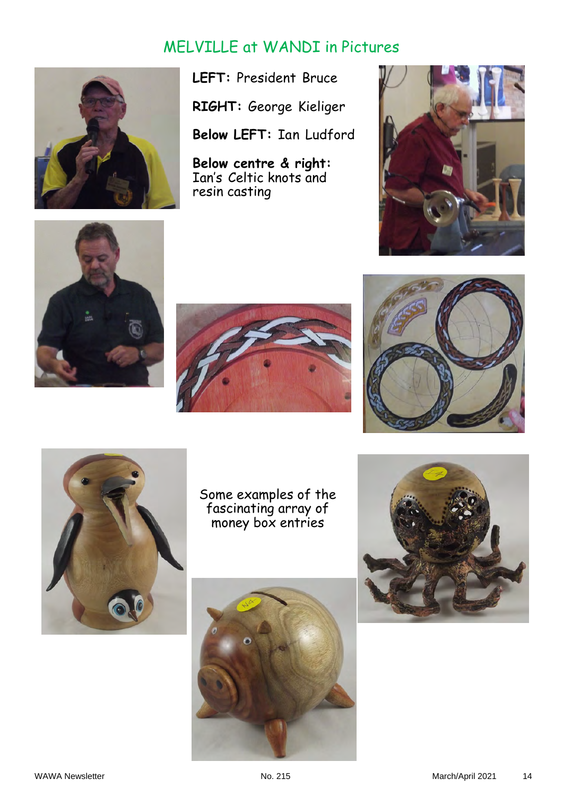# MELVILLE at WANDI in Pictures



**LEFT:** President Bruce

**RIGHT:** George Kieliger

**Below LEFT:** Ian Ludford

**Below centre & right:**  Ian's Celtic knots and resin casting











Some examples of the fascinating array of money box entries



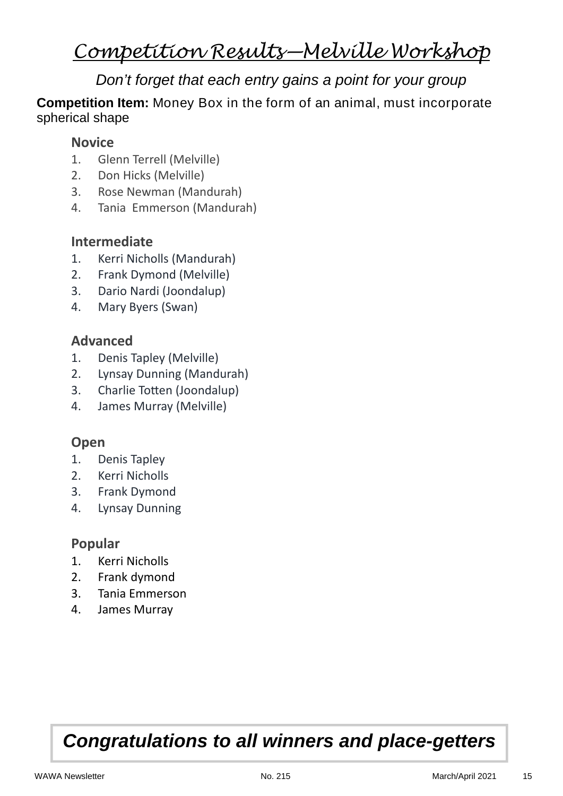# *Competition Results—Melville Workshop*

# *Don't forget that each entry gains a point for your group*

**Competition Item:** Money Box in the form of an animal, must incorporate spherical shape

### **Novice**

- 1. Glenn Terrell (Melville)
- 2. Don Hicks (Melville)
- 3. Rose Newman (Mandurah)
- 4. Tania Emmerson (Mandurah)

## **Intermediate**

- 1. Kerri Nicholls (Mandurah)
- 2. Frank Dymond (Melville)
- 3. Dario Nardi (Joondalup)
- 4. Mary Byers (Swan)

## **Advanced**

- 1. Denis Tapley (Melville)
- 2. Lynsay Dunning (Mandurah)
- 3. Charlie Totten (Joondalup)
- 4. James Murray (Melville)

### **Open**

- 1. Denis Tapley
- 2. Kerri Nicholls
- 3. Frank Dymond
- 4. Lynsay Dunning

### **Popular**

- 1. Kerri Nicholls
- 2. Frank dymond
- 3. Tania Emmerson
- 4. James Murray

# *Congratulations to all winners and place-getters*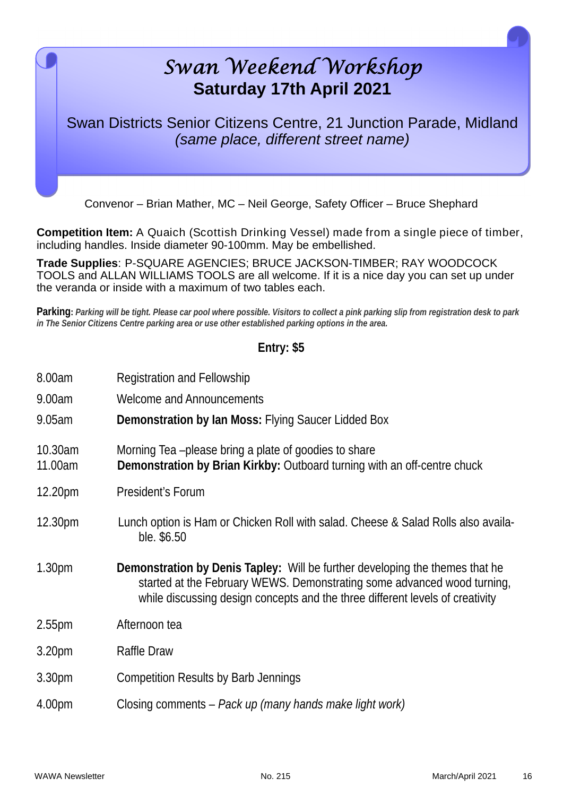# *Swan Weekend Workshop* **Saturday 17th April 2021**  Swan Districts Senior Citizens Centre, 21 Junction Parade, Midland *(same place, different street name)*

Convenor – Brian Mather, MC – Neil George, Safety Officer – Bruce Shephard

**Competition Item:** A Quaich (Scottish Drinking Vessel) made from a single piece of timber, including handles. Inside diameter 90-100mm. May be embellished.

**Trade Supplies**: P-SQUARE AGENCIES; BRUCE JACKSON-TIMBER; RAY WOODCOCK TOOLS and ALLAN WILLIAMS TOOLS are all welcome. If it is a nice day you can set up under the veranda or inside with a maximum of two tables each.

**Parking:** *Parking will be tight. Please car pool where possible. Visitors to collect a pink parking slip from registration desk to park in The Senior Citizens Centre parking area or use other established parking options in the area.* 

### **Entry: \$5**

| 8.00am             | Registration and Fellowship                                                                                                                                                                                                                     |
|--------------------|-------------------------------------------------------------------------------------------------------------------------------------------------------------------------------------------------------------------------------------------------|
| 9.00am             | <b>Welcome and Announcements</b>                                                                                                                                                                                                                |
| 9.05am             | Demonstration by Ian Moss: Flying Saucer Lidded Box                                                                                                                                                                                             |
| 10.30am<br>11.00am | Morning Tea-please bring a plate of goodies to share<br>Demonstration by Brian Kirkby: Outboard turning with an off-centre chuck                                                                                                                |
| 12.20pm            | President's Forum                                                                                                                                                                                                                               |
| 12.30pm            | Lunch option is Ham or Chicken Roll with salad. Cheese & Salad Rolls also availa-<br>ble. \$6.50                                                                                                                                                |
| 1.30 <sub>pm</sub> | <b>Demonstration by Denis Tapley:</b> Will be further developing the themes that he<br>started at the February WEWS. Demonstrating some advanced wood turning,<br>while discussing design concepts and the three different levels of creativity |
| 2.55 <sub>pm</sub> | Afternoon tea                                                                                                                                                                                                                                   |
| 3.20 <sub>pm</sub> | Raffle Draw                                                                                                                                                                                                                                     |
| 3.30pm             | <b>Competition Results by Barb Jennings</b>                                                                                                                                                                                                     |
| 4.00pm             | Closing comments – Pack up (many hands make light work)                                                                                                                                                                                         |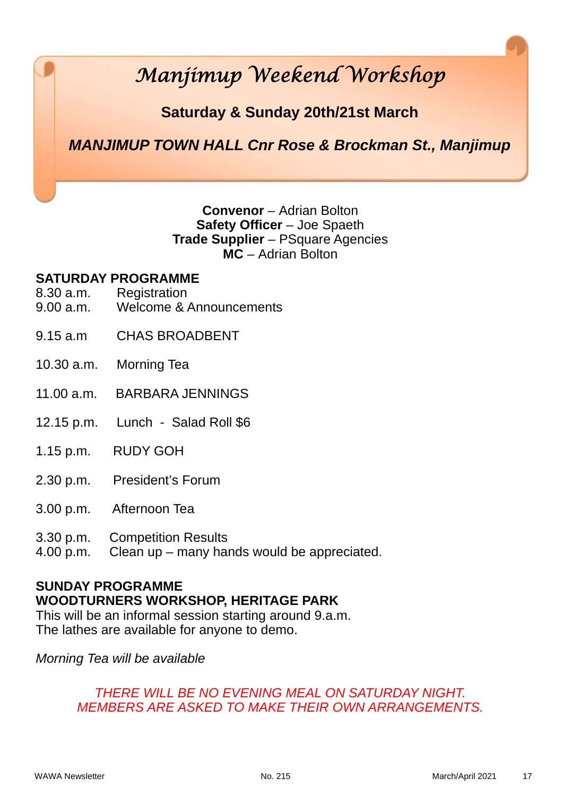# *Manjimup Weekend Workshop*

# **Saturday & Sunday 20th/21st March**

# *MANJIMUP TOWN HALL Cnr Rose & Brockman St., Manjimup*

### **Convenor** – Adrian Bolton **Safety Officer** – Joe Spaeth **Trade Supplier** – PSquare Agencies **MC** – Adrian Bolton

### **SATURDAY PROGRAMME**

- 8.30 a.m. Registration
- 9.00 a.m. Welcome & Announcements
- 9.15 a.m CHAS BROADBENT
- 10.30 a.m. Morning Tea
- 11.00 a.m. BARBARA JENNINGS
- 12.15 p.m. Lunch Salad Roll \$6
- 1.15 p.m. RUDY GOH
- 2.30 p.m. President's Forum
- 3.00 p.m. Afternoon Tea
- 3.30 p.m. Competition Results
- 4.00 p.m. Clean up many hands would be appreciated.

### **SUNDAY PROGRAMME WOODTURNERS WORKSHOP, HERITAGE PARK**

This will be an informal session starting around 9.a.m. The lathes are available for anyone to demo.

*Morning Tea will be available* 

### *THERE WILL BE NO EVENING MEAL ON SATURDAY NIGHT. MEMBERS ARE ASKED TO MAKE THEIR OWN ARRANGEMENTS.*